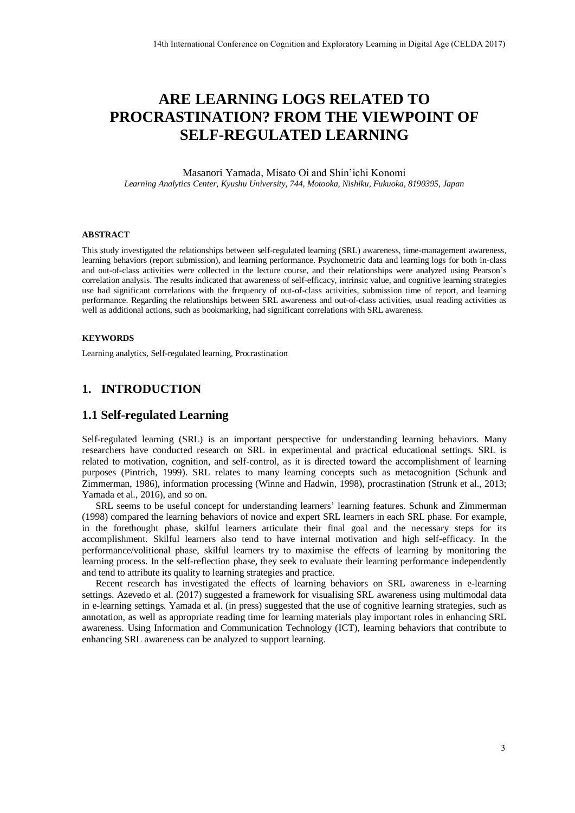# **ARE LEARNING LOGS RELATED TO PROCRASTINATION? FROM THE VIEWPOINT OF SELF-REGULATED LEARNING**

Masanori Yamada, Misato Oi and Shin'ichi Konomi *Learning Analytics Center, Kyushu University, 744, Motooka, Nishiku, Fukuoka, 8190395, Japan* 

#### **ABSTRACT**

This study investigated the relationships between self-regulated learning (SRL) awareness, time-management awareness, learning behaviors (report submission), and learning performance. Psychometric data and learning logs for both in-class and out-of-class activities were collected in the lecture course, and their relationships were analyzed using Pearson's correlation analysis. The results indicated that awareness of self-efficacy, intrinsic value, and cognitive learning strategies use had significant correlations with the frequency of out-of-class activities, submission time of report, and learning performance. Regarding the relationships between SRL awareness and out-of-class activities, usual reading activities as well as additional actions, such as bookmarking, had significant correlations with SRL awareness.

#### **KEYWORDS**

Learning analytics, Self-regulated learning, Procrastination

### **1. INTRODUCTION**

### **1.1 Self-regulated Learning**

Self-regulated learning (SRL) is an important perspective for understanding learning behaviors. Many researchers have conducted research on SRL in experimental and practical educational settings. SRL is related to motivation, cognition, and self-control, as it is directed toward the accomplishment of learning purposes (Pintrich, 1999). SRL relates to many learning concepts such as metacognition (Schunk and Zimmerman, 1986), information processing (Winne and Hadwin, 1998), procrastination (Strunk et al., 2013; Yamada et al., 2016), and so on.

SRL seems to be useful concept for understanding learners' learning features. Schunk and Zimmerman (1998) compared the learning behaviors of novice and expert SRL learners in each SRL phase. For example, in the forethought phase, skilful learners articulate their final goal and the necessary steps for its accomplishment. Skilful learners also tend to have internal motivation and high self-efficacy. In the performance/volitional phase, skilful learners try to maximise the effects of learning by monitoring the learning process. In the self-reflection phase, they seek to evaluate their learning performance independently and tend to attribute its quality to learning strategies and practice. 14th International Conference on Cognition and Exploration Forming in Digital Age (CELDA 2017)<br> **ARE LEARNING LOGS RELATED TO**<br> **BASSITINATION?** PROM THE VIEWPOINT OF<br>
SELF-REGULATED LEARNING<br>
Massners Variable Age (Mass

Recent research has investigated the effects of learning behaviors on SRL awareness in e-learning settings. Azevedo et al. (2017) suggested a framework for visualising SRL awareness using multimodal data in e-learning settings. Yamada et al. (in press) suggested that the use of cognitive learning strategies, such as annotation, as well as appropriate reading time for learning materials play important roles in enhancing SRL awareness. Using Information and Communication Technology (ICT), learning behaviors that contribute to enhancing SRL awareness can be analyzed to support learning.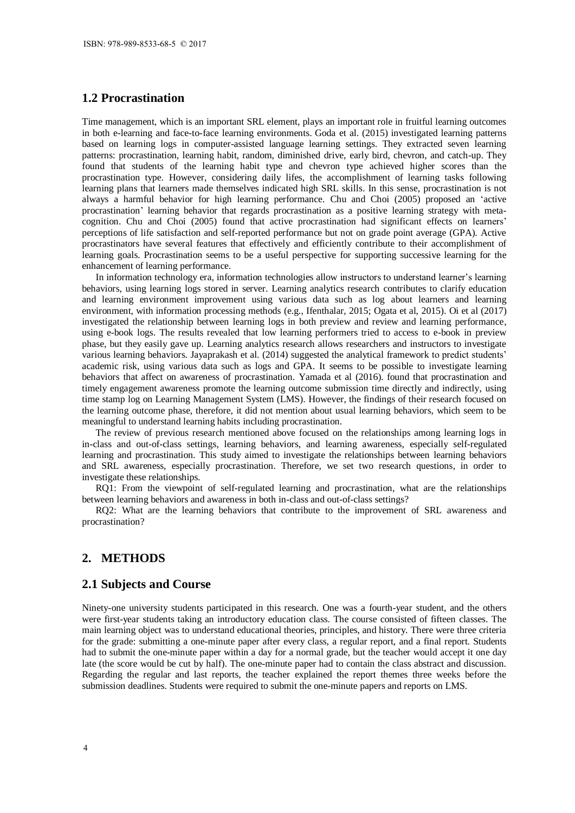### **1.2 Procrastination**

Time management, which is an important SRL element, plays an important role in fruitful learning outcomes in both e-learning and face-to-face learning environments. Goda et al. (2015) investigated learning patterns based on learning logs in computer-assisted language learning settings. They extracted seven learning patterns: procrastination, learning habit, random, diminished drive, early bird, chevron, and catch-up. They found that students of the learning habit type and chevron type achieved higher scores than the procrastination type. However, considering daily lifes, the accomplishment of learning tasks following learning plans that learners made themselves indicated high SRL skills. In this sense, procrastination is not always a harmful behavior for high learning performance. Chu and Choi (2005) proposed an 'active procrastination' learning behavior that regards procrastination as a positive learning strategy with metacognition. Chu and Choi (2005) found that active procrastination had significant effects on learners' perceptions of life satisfaction and self-reported performance but not on grade point average (GPA). Active procrastinators have several features that effectively and efficiently contribute to their accomplishment of learning goals. Procrastination seems to be a useful perspective for supporting successive learning for the enhancement of learning performance.

In information technology era, information technologies allow instructors to understand learner's learning behaviors, using learning logs stored in server. Learning analytics research contributes to clarify education and learning environment improvement using various data such as log about learners and learning environment, with information processing methods (e.g., Ifenthalar, 2015; Ogata et al, 2015). Oi et al (2017) investigated the relationship between learning logs in both preview and review and learning performance, using e-book logs. The results revealed that low learning performers tried to access to e-book in preview phase, but they easily gave up. Learning analytics research allows researchers and instructors to investigate various learning behaviors. Jayaprakash et al. (2014) suggested the analytical framework to predict students' academic risk, using various data such as logs and GPA. It seems to be possible to investigate learning behaviors that affect on awareness of procrastination. Yamada et al (2016). found that procrastination and timely engagement awareness promote the learning outcome submission time directly and indirectly, using time stamp log on Learning Management System (LMS). However, the findings of their research focused on the learning outcome phase, therefore, it did not mention about usual learning behaviors, which seem to be meaningful to understand learning habits including procrastination.

The review of previous research mentioned above focused on the relationships among learning logs in in-class and out-of-class settings, learning behaviors, and learning awareness, especially self-regulated learning and procrastination. This study aimed to investigate the relationships between learning behaviors and SRL awareness, especially procrastination. Therefore, we set two research questions, in order to investigate these relationships.

RQ1: From the viewpoint of self-regulated learning and procrastination, what are the relationships between learning behaviors and awareness in both in-class and out-of-class settings?

RQ2: What are the learning behaviors that contribute to the improvement of SRL awareness and procrastination?

#### **2. METHODS**

#### **2.1 Subjects and Course**

Ninety-one university students participated in this research. One was a fourth-year student, and the others were first-year students taking an introductory education class. The course consisted of fifteen classes. The main learning object was to understand educational theories, principles, and history. There were three criteria for the grade: submitting a one-minute paper after every class, a regular report, and a final report. Students had to submit the one-minute paper within a day for a normal grade, but the teacher would accept it one day late (the score would be cut by half). The one-minute paper had to contain the class abstract and discussion. Regarding the regular and last reports, the teacher explained the report themes three weeks before the submission deadlines. Students were required to submit the one-minute papers and reports on LMS.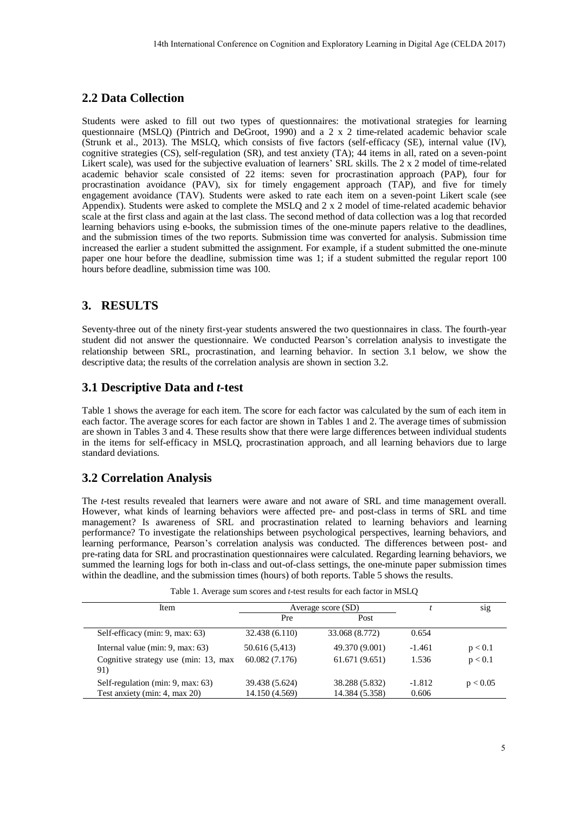## **2.2 Data Collection**

Students were asked to fill out two types of questionnaires: the motivational strategies for learning questionnaire (MSLQ) (Pintrich and DeGroot, 1990) and a 2 x 2 time-related academic behavior scale (Strunk et al., 2013). The MSLQ, which consists of five factors (self-efficacy (SE), internal value (IV), cognitive strategies (CS), self-regulation (SR), and test anxiety (TA); 44 items in all, rated on a seven-point Likert scale), was used for the subjective evaluation of learners' SRL skills. The 2 x 2 model of time-related academic behavior scale consisted of 22 items: seven for procrastination approach (PAP), four for procrastination avoidance (PAV), six for timely engagement approach (TAP), and five for timely engagement avoidance (TAV). Students were asked to rate each item on a seven-point Likert scale (see Appendix). Students were asked to complete the MSLQ and 2 x 2 model of time-related academic behavior scale at the first class and again at the last class. The second method of data collection was a log that recorded learning behaviors using e-books, the submission times of the one-minute papers relative to the deadlines, and the submission times of the two reports. Submission time was converted for analysis. Submission time increased the earlier a student submitted the assignment. For example, if a student submitted the one-minute paper one hour before the deadline, submission time was 1; if a student submitted the regular report 100 hours before deadline, submission time was 100. 14th International Conference on Cognition and Exploration Learning in Depth Age (CELDA 2017)<br>
14th Inst 16th International Conference on Cognitions and Digital Age (CELOA 2017)<br>
16th Inst 16th International Conference on

# **3. RESULTS**

Seventy-three out of the ninety first-year students answered the two questionnaires in class. The fourth-year student did not answer the questionnaire. We conducted Pearson's correlation analysis to investigate the relationship between SRL, procrastination, and learning behavior. In section 3.1 below, we show the descriptive data; the results of the correlation analysis are shown in section 3.2.

### **3.1 Descriptive Data and** *t***-test**

Table 1 shows the average for each item. The score for each factor was calculated by the sum of each item in each factor. The average scores for each factor are shown in Tables 1 and 2. The average times of submission are shown in Tables 3 and 4. These results show that there were large differences between individual students in the items for self-efficacy in MSLQ, procrastination approach, and all learning behaviors due to large standard deviations.

### **3.2 Correlation Analysis**

The *t*-test results revealed that learners were aware and not aware of SRL and time management overall. However, what kinds of learning behaviors were affected pre- and post-class in terms of SRL and time management? Is awareness of SRL and procrastination related to learning behaviors and learning performance? To investigate the relationships between psychological perspectives, learning behaviors, and learning performance, Pearson's correlation analysis was conducted. The differences between post- and pre-rating data for SRL and procrastination questionnaires were calculated. Regarding learning behaviors, we summed the learning logs for both in-class and out-of-class settings, the one-minute paper submission times within the deadline, and the submission times (hours) of both reports. Table 5 shows the results.

| Table 1. Average sum scores and <i>t</i> -test results for each factor in MSLQ |  |
|--------------------------------------------------------------------------------|--|
|--------------------------------------------------------------------------------|--|

| Item                                        | Average score (SD) |                |          | S <sub>1</sub> g |
|---------------------------------------------|--------------------|----------------|----------|------------------|
|                                             | Pre                | Post           |          |                  |
| Self-efficacy (min: 9, max: 63)             | 32.438 (6.110)     | 33.068 (8.772) | 0.654    |                  |
| Internal value (min: $9$ , max: $63$ )      | 50.616 (5,413)     | 49.370 (9.001) | $-1.461$ | p < 0.1          |
| Cognitive strategy use (min: 13, max<br>91) | 60.082 (7.176)     | 61.671(9.651)  | 1.536    | p < 0.1          |
| Self-regulation (min: 9, max: 63)           | 39.438 (5.624)     | 38.288 (5.832) | $-1.812$ | p < 0.05         |
| Test anxiety (min: 4, max 20)               | 14.150 (4.569)     | 14.384 (5.358) | 0.606    |                  |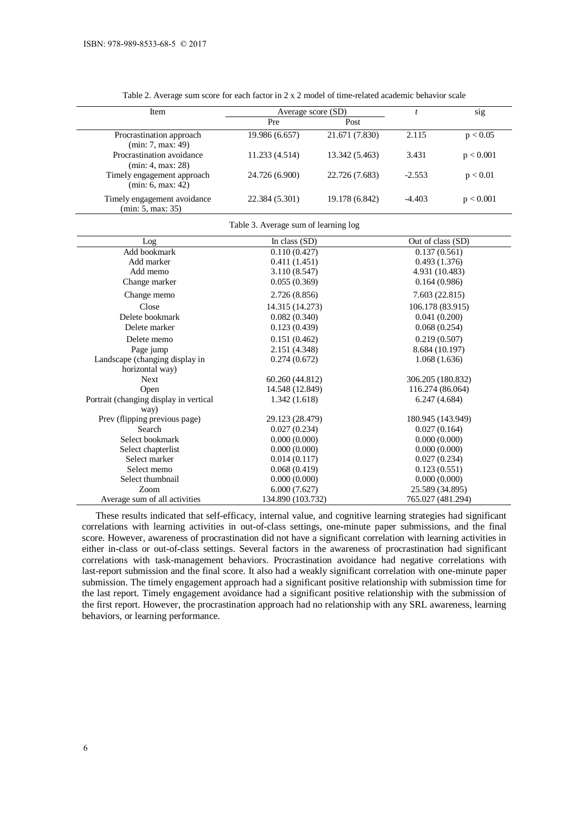| Item                                             | Average score (SD) |                |          | sig       |
|--------------------------------------------------|--------------------|----------------|----------|-----------|
|                                                  | Pre                | Post           |          |           |
| Procrastination approach<br>(min: 7, max: 49)    | 19.986 (6.657)     | 21.671 (7.830) | 2.115    | p < 0.05  |
| Procrastination avoidance<br>(min: 4, max: 28)   | 11.233(4.514)      | 13.342 (5.463) | 3.431    | p < 0.001 |
| Timely engagement approach<br>(min: 6, max: 42)  | 24.726 (6.900)     | 22.726 (7.683) | $-2.553$ | p < 0.01  |
| Timely engagement avoidance<br>(min: 5, max: 35) | 22.384 (5.301)     | 19.178 (6.842) | $-4.403$ | p < 0.001 |

Table 3. Average sum of learning log

Table 2. Average sum score for each factor in 2 x 2 model of time-related academic behavior scale

| Log                                    | In class $(SD)$   | Out of class (SD) |
|----------------------------------------|-------------------|-------------------|
| Add bookmark                           | 0.110(0.427)      | 0.137(0.561)      |
| Add marker                             | 0.411(1.451)      | 0.493(1.376)      |
| Add memo                               | 3.110(8.547)      | 4.931 (10.483)    |
| Change marker                          | 0.055(0.369)      | 0.164(0.986)      |
| Change memo                            | 2.726(8.856)      | 7.603(22.815)     |
| Close                                  | 14.315 (14.273)   | 106.178 (83.915)  |
| Delete bookmark                        | 0.082(0.340)      | 0.041(0.200)      |
| Delete marker                          | 0.123(0.439)      | 0.068(0.254)      |
| Delete memo                            | 0.151(0.462)      | 0.219(0.507)      |
| Page jump                              | 2.151 (4.348)     | 8.684 (10.197)    |
| Landscape (changing display in         | 0.274(0.672)      | 1.068(1.636)      |
| horizontal way)                        |                   |                   |
| <b>Next</b>                            | 60.260 (44.812)   | 306.205 (180.832) |
| Open                                   | 14.548 (12.849)   | 116.274 (86.064)  |
| Portrait (changing display in vertical | 1.342(1.618)      | 6.247(4.684)      |
| way)                                   |                   |                   |
| Prev (flipping previous page)          | 29.123 (28.479)   | 180.945 (143.949) |
| Search                                 | 0.027(0.234)      | 0.027(0.164)      |
| Select bookmark                        | 0.000(0.000)      | 0.000(0.000)      |
| Select chapterlist                     | 0.000(0.000)      | 0.000(0.000)      |
| Select marker                          | 0.014(0.117)      | 0.027(0.234)      |
| Select memo                            | 0.068(0.419)      | 0.123(0.551)      |
| Select thumbnail                       | 0.000(0.000)      | 0.000(0.000)      |
| Zoom                                   | 6.000(7.627)      | 25.589 (34.895)   |
| Average sum of all activities          | 134.890 (103.732) | 765.027 (481.294) |

These results indicated that self-efficacy, internal value, and cognitive learning strategies had significant correlations with learning activities in out-of-class settings, one-minute paper submissions, and the final score. However, awareness of procrastination did not have a significant correlation with learning activities in either in-class or out-of-class settings. Several factors in the awareness of procrastination had significant correlations with task-management behaviors. Procrastination avoidance had negative correlations with last-report submission and the final score. It also had a weakly significant correlation with one-minute paper submission. The timely engagement approach had a significant positive relationship with submission time for the last report. Timely engagement avoidance had a significant positive relationship with the submission of the first report. However, the procrastination approach had no relationship with any SRL awareness, learning behaviors, or learning performance.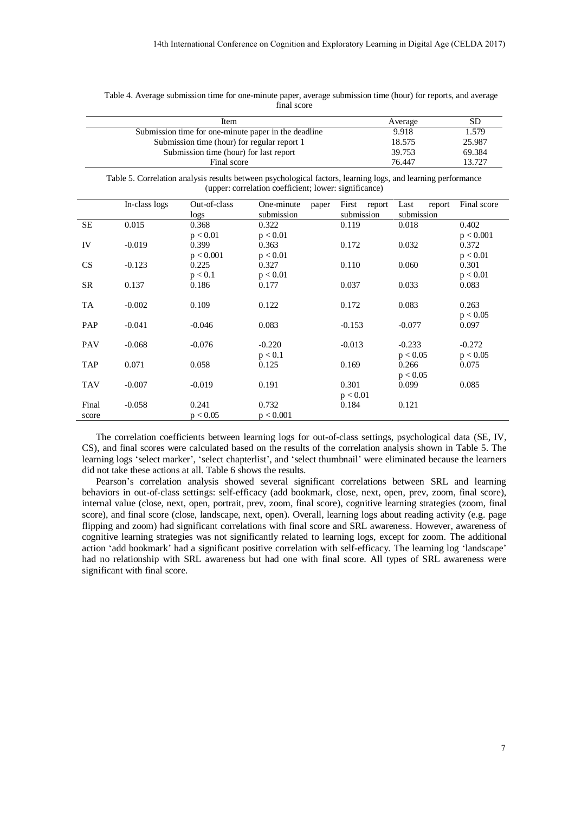|                |                                                               | Item<br>Submission time (hour) for regular report 1<br>Submission time (hour) for last report | Submission time for one-minute paper in the deadline                                                                                                                                                                                                                                                                                                                                                                                                                                                                                                                                                                                                                                                                                                                                                                                                                                                                    |                     | Average<br>9.918<br>18.575<br>39.753 | <b>SD</b><br>1.579<br>25.987<br>69.384 |
|----------------|---------------------------------------------------------------|-----------------------------------------------------------------------------------------------|-------------------------------------------------------------------------------------------------------------------------------------------------------------------------------------------------------------------------------------------------------------------------------------------------------------------------------------------------------------------------------------------------------------------------------------------------------------------------------------------------------------------------------------------------------------------------------------------------------------------------------------------------------------------------------------------------------------------------------------------------------------------------------------------------------------------------------------------------------------------------------------------------------------------------|---------------------|--------------------------------------|----------------------------------------|
|                |                                                               | Final score                                                                                   | Table 5. Correlation analysis results between psychological factors, learning logs, and learning performance<br>(upper: correlation coefficient; lower: significance)                                                                                                                                                                                                                                                                                                                                                                                                                                                                                                                                                                                                                                                                                                                                                   |                     | 76.447                               | 13.727                                 |
|                | In-class logs                                                 | Out-of-class                                                                                  | One-minute<br>paper                                                                                                                                                                                                                                                                                                                                                                                                                                                                                                                                                                                                                                                                                                                                                                                                                                                                                                     | First<br>report     | Last<br>report                       | Final score                            |
| SE             | 0.015                                                         | logs<br>0.368                                                                                 | submission<br>0.322                                                                                                                                                                                                                                                                                                                                                                                                                                                                                                                                                                                                                                                                                                                                                                                                                                                                                                     | submission<br>0.119 | submission<br>0.018                  | 0.402                                  |
| IV             | $-0.019$                                                      | p < 0.01<br>0.399                                                                             | p < 0.01<br>0.363                                                                                                                                                                                                                                                                                                                                                                                                                                                                                                                                                                                                                                                                                                                                                                                                                                                                                                       | 0.172               | 0.032                                | p < 0.001<br>0.372                     |
| CS             | $-0.123$                                                      | p < 0.001<br>0.225                                                                            | p < 0.01<br>0.327                                                                                                                                                                                                                                                                                                                                                                                                                                                                                                                                                                                                                                                                                                                                                                                                                                                                                                       | 0.110               | 0.060                                | p < 0.01<br>0.301                      |
| <b>SR</b>      | 0.137                                                         | p < 0.1<br>0.186                                                                              | p < 0.01<br>0.177                                                                                                                                                                                                                                                                                                                                                                                                                                                                                                                                                                                                                                                                                                                                                                                                                                                                                                       | 0.037               | 0.033                                | p < 0.01<br>0.083                      |
| <b>TA</b>      | $-0.002$                                                      | 0.109                                                                                         | 0.122                                                                                                                                                                                                                                                                                                                                                                                                                                                                                                                                                                                                                                                                                                                                                                                                                                                                                                                   | 0.172               | 0.083                                | 0.263<br>p < 0.05                      |
| PAP            | $-0.041$                                                      | $-0.046$                                                                                      | 0.083                                                                                                                                                                                                                                                                                                                                                                                                                                                                                                                                                                                                                                                                                                                                                                                                                                                                                                                   | $-0.153$            | $-0.077$                             | 0.097                                  |
| PAV            | $-0.068$                                                      | $-0.076$                                                                                      | $-0.220$                                                                                                                                                                                                                                                                                                                                                                                                                                                                                                                                                                                                                                                                                                                                                                                                                                                                                                                | $-0.013$            | $-0.233$                             | $-0.272$                               |
| <b>TAP</b>     | 0.071                                                         | 0.058                                                                                         | p < 0.1<br>0.125                                                                                                                                                                                                                                                                                                                                                                                                                                                                                                                                                                                                                                                                                                                                                                                                                                                                                                        | 0.169               | p < 0.05<br>0.266                    | p < 0.05<br>0.075                      |
| <b>TAV</b>     | $-0.007$                                                      | $-0.019$                                                                                      | 0.191                                                                                                                                                                                                                                                                                                                                                                                                                                                                                                                                                                                                                                                                                                                                                                                                                                                                                                                   | 0.301<br>p < 0.01   | p < 0.05<br>0.099                    | 0.085                                  |
| Final<br>score | $-0.058$                                                      | 0.241<br>p < 0.05                                                                             | 0.732<br>p < 0.001                                                                                                                                                                                                                                                                                                                                                                                                                                                                                                                                                                                                                                                                                                                                                                                                                                                                                                      | 0.184               | 0.121                                |                                        |
|                | did not take these actions at all. Table 6 shows the results. |                                                                                               | The correlation coefficients between learning logs for out-of-class settings, psychological data (SE, IV,<br>CS), and final scores were calculated based on the results of the correlation analysis shown in Table 5. The<br>learning logs 'select marker', 'select chapterlist', and 'select thumbnail' were eliminated because the learners<br>Pearson's correlation analysis showed several significant correlations between SRL and learning<br>behaviors in out-of-class settings: self-efficacy (add bookmark, close, next, open, prev, zoom, final score),<br>internal value (close, next, open, portrait, prev, zoom, final score), cognitive learning strategies (zoom, final<br>score), and final score (close, landscape, next, open). Overall, learning logs about reading activity (e.g. page<br>flipping and zoom) had significant correlations with final score and SRL awareness. However, awareness of |                     |                                      |                                        |
|                | significant with final score.                                 |                                                                                               | cognitive learning strategies was not significantly related to learning logs, except for zoom. The additional<br>action 'add bookmark' had a significant positive correlation with self-efficacy. The learning log 'landscape'<br>had no relationship with SRL awareness but had one with final score. All types of SRL awareness were                                                                                                                                                                                                                                                                                                                                                                                                                                                                                                                                                                                  |                     |                                      |                                        |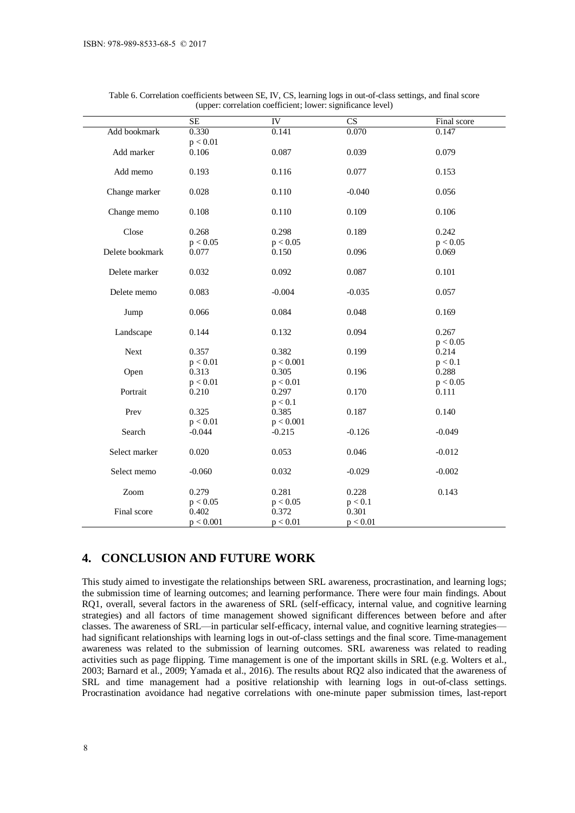|                 | <b>SE</b>         | ${\rm IV}$        | $\overline{\text{CS}}$ | Final score       |
|-----------------|-------------------|-------------------|------------------------|-------------------|
| Add bookmark    | 0.330             | 0.141             | 0.070                  | 0.147             |
|                 | p < 0.01          |                   |                        |                   |
| Add marker      | 0.106             | 0.087             | 0.039                  | 0.079             |
| Add memo        | 0.193             | 0.116             | 0.077                  | 0.153             |
| Change marker   | 0.028             | 0.110             | $-0.040$               | 0.056             |
| Change memo     | 0.108             | 0.110             | 0.109                  | 0.106             |
| Close           | 0.268             | 0.298             | 0.189                  | 0.242             |
| Delete bookmark | p < 0.05<br>0.077 | p < 0.05<br>0.150 | 0.096                  | p < 0.05<br>0.069 |
| Delete marker   | 0.032             | 0.092             | 0.087                  | 0.101             |
| Delete memo     | 0.083             | $-0.004$          | $-0.035$               | 0.057             |
| Jump            | 0.066             | 0.084             | 0.048                  | 0.169             |
| Landscape       | 0.144             | 0.132             | 0.094                  | 0.267             |
|                 |                   |                   |                        | p < 0.05          |
| <b>Next</b>     | 0.357             | 0.382             | 0.199                  | 0.214             |
|                 | p < 0.01          | p < 0.001         |                        | p < 0.1           |
| Open            | 0.313             | 0.305             | 0.196                  | 0.288             |
|                 | p < 0.01          | p < 0.01          |                        | p < 0.05          |
| Portrait        | 0.210             | 0.297             | 0.170                  | 0.111             |
|                 |                   | p < 0.1           |                        |                   |
| Prev            | 0.325             | 0.385             | 0.187                  | 0.140             |
|                 | p < 0.01          | p < 0.001         |                        |                   |
| Search          | $-0.044$          | $-0.215$          | $-0.126$               | $-0.049$          |
| Select marker   | 0.020             | 0.053             | 0.046                  | $-0.012$          |
| Select memo     | $-0.060$          | 0.032             | $-0.029$               | $-0.002$          |
| Zoom            | 0.279             | 0.281             | 0.228                  | 0.143             |
|                 | p < 0.05          | p < 0.05          | p < 0.1                |                   |
| Final score     | 0.402             | 0.372             | 0.301                  |                   |
|                 | p < 0.001         | p < 0.01          | p < 0.01               |                   |

Table 6. Correlation coefficients between SE, IV, CS, learning logs in out-of-class settings, and final score (upper: correlation coefficient; lower: significance level)

## **4. CONCLUSION AND FUTURE WORK**

This study aimed to investigate the relationships between SRL awareness, procrastination, and learning logs; the submission time of learning outcomes; and learning performance. There were four main findings. About RQ1, overall, several factors in the awareness of SRL (self-efficacy, internal value, and cognitive learning strategies) and all factors of time management showed significant differences between before and after classes. The awareness of SRL—in particular self-efficacy, internal value, and cognitive learning strategies had significant relationships with learning logs in out-of-class settings and the final score. Time-management awareness was related to the submission of learning outcomes. SRL awareness was related to reading activities such as page flipping. Time management is one of the important skills in SRL (e.g. Wolters et al., 2003; Barnard et al., 2009; Yamada et al., 2016). The results about RQ2 also indicated that the awareness of SRL and time management had a positive relationship with learning logs in out-of-class settings. Procrastination avoidance had negative correlations with one-minute paper submission times, last-report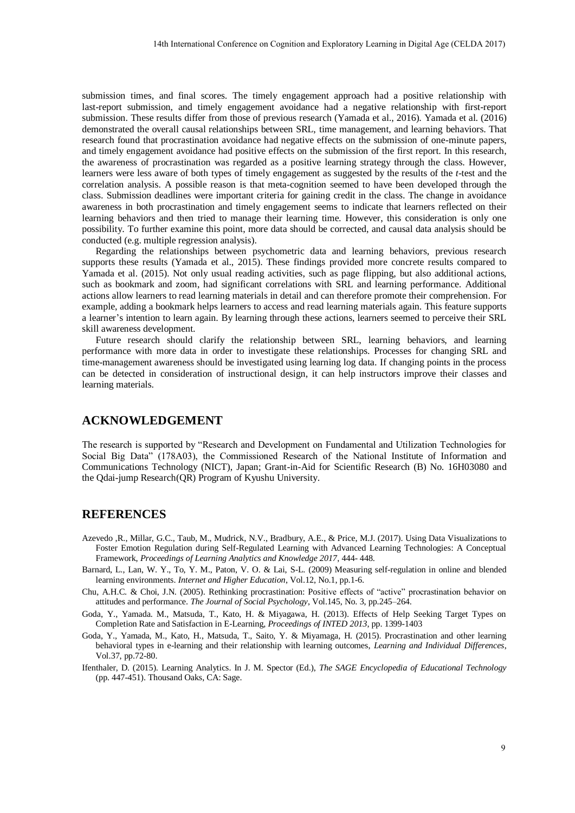submission times, and final scores. The timely engagement approach had a positive relationship with last-report submission, and timely engagement avoidance had a negative relationship with first-report submission. These results differ from those of previous research (Yamada et al., 2016). Yamada et al. (2016) demonstrated the overall causal relationships between SRL, time management, and learning behaviors. That research found that procrastination avoidance had negative effects on the submission of one-minute papers, and timely engagement avoidance had positive effects on the submission of the first report. In this research, the awareness of procrastination was regarded as a positive learning strategy through the class. However, learners were less aware of both types of timely engagement as suggested by the results of the *t*-test and the correlation analysis. A possible reason is that meta-cognition seemed to have been developed through the class. Submission deadlines were important criteria for gaining credit in the class. The change in avoidance awareness in both procrastination and timely engagement seems to indicate that learners reflected on their learning behaviors and then tried to manage their learning time. However, this consideration is only one possibility. To further examine this point, more data should be corrected, and causal data analysis should be conducted (e.g. multiple regression analysis). 14th International Conference on Cognition and Exploratory Learning in Depth (Age (CELDA 2017)<br>
and first content The timely reaggement approach had a provider individual profile<br>
and all first from three of previous seco

Regarding the relationships between psychometric data and learning behaviors, previous research supports these results (Yamada et al., 2015). These findings provided more concrete results compared to Yamada et al. (2015). Not only usual reading activities, such as page flipping, but also additional actions, such as bookmark and zoom, had significant correlations with SRL and learning performance. Additional actions allow learners to read learning materials in detail and can therefore promote their comprehension. For example, adding a bookmark helps learners to access and read learning materials again. This feature supports a learner's intention to learn again. By learning through these actions, learners seemed to perceive their SRL skill awareness development.

Future research should clarify the relationship between SRL, learning behaviors, and learning performance with more data in order to investigate these relationships. Processes for changing SRL and time-management awareness should be investigated using learning log data. If changing points in the process can be detected in consideration of instructional design, it can help instructors improve their classes and learning materials.

#### **ACKNOWLEDGEMENT**

The research is supported by "Research and Development on Fundamental and Utilization Technologies for Social Big Data" (178A03), the Commissioned Research of the National Institute of Information and Communications Technology (NICT), Japan; Grant-in-Aid for Scientific Research (B) No. 16H03080 and the Qdai-jump Research(QR) Program of Kyushu University.

#### **REFERENCES**

- Azevedo ,R., Millar, G.C., Taub, M., Mudrick, N.V., Bradbury, A.E., & Price, M.J. (2017). Using Data Visualizations to Foster Emotion Regulation during Self-Regulated Learning with Advanced Learning Technologies: A Conceptual Framework, *Proceedings of Learning Analytics and Knowledge 2017*, 444- 448.
- Barnard, L., Lan, W. Y., To, Y. M., Paton, V. O. & Lai, S-L. (2009) Measuring self-regulation in online and blended learning environments. *Internet and Higher Education*, Vol.12, No.1, pp.1-6.
- Chu, A.H.C. & Choi, J.N. (2005). Rethinking procrastination: Positive effects of "active" procrastination behavior on attitudes and performance. *The Journal of Social Psychology*, Vol.145, No. 3, pp.245–264.
- Goda, Y., Yamada. M., Matsuda, T., Kato, H. & Miyagawa, H. (2013). Effects of Help Seeking Target Types on Completion Rate and Satisfaction in E-Learning, *Proceedings of INTED 2013*, pp. 1399-1403
- Goda, Y., Yamada, M., Kato, H., Matsuda, T., Saito, Y. & Miyamaga, H. (2015). Procrastination and other learning behavioral types in e-learning and their relationship with learning outcomes, *Learning and Individual Differences*, Vol.37, pp.72-80.
- Ifenthaler, D. (2015). Learning Analytics. In J. M. Spector (Ed.), *The SAGE Encyclopedia of Educational Technology* (pp. 447-451). Thousand Oaks, CA: Sage.